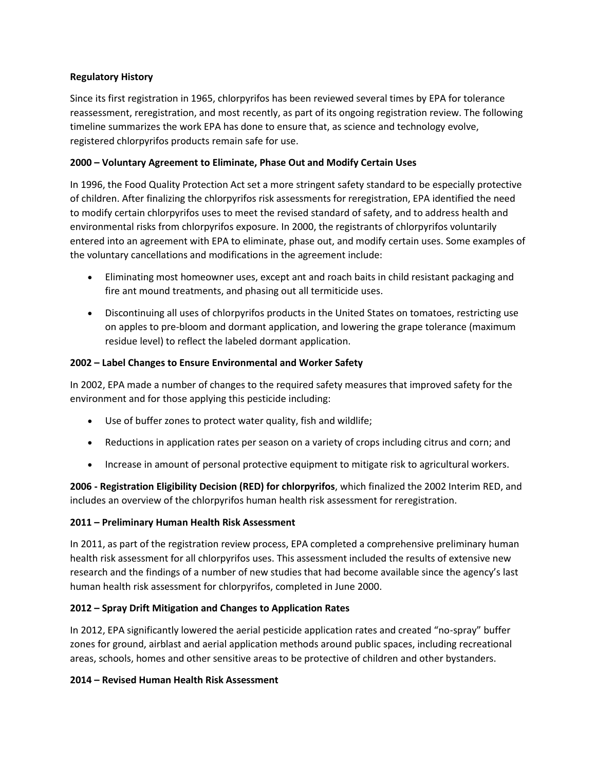#### **Regulatory History**

Since its first registration in 1965, chlorpyrifos has been reviewed several times by EPA for tolerance reassessment, reregistration, and most recently, as part of its ongoing registration review. The following timeline summarizes the work EPA has done to ensure that, as science and technology evolve, registered chlorpyrifos products remain safe for use.

### **2000 – Voluntary Agreement to Eliminate, Phase Out and Modify Certain Uses**

In 1996, the Food Quality Protection Act set a more stringent safety standard to be especially protective of children. After finalizing the chlorpyrifos risk assessments for reregistration, EPA identified the need to modify certain chlorpyrifos uses to meet the revised standard of safety, and to address health and environmental risks from chlorpyrifos exposure. In 2000, the registrants of chlorpyrifos voluntarily entered into an agreement with EPA to eliminate, phase out, and modify certain uses. Some examples of the voluntary cancellations and modifications in the agreement include:

- Eliminating most homeowner uses, except ant and roach baits in child resistant packaging and fire ant mound treatments, and phasing out all termiticide uses.
- Discontinuing all uses of chlorpyrifos products in the United States on tomatoes, restricting use on apples to pre-bloom and dormant application, and lowering the grape tolerance (maximum residue level) to reflect the labeled dormant application.

### **2002 – Label Changes to Ensure Environmental and Worker Safety**

In 2002, EPA made a number of changes to the required safety measures that improved safety for the environment and for those applying this pesticide including:

- Use of buffer zones to protect water quality, fish and wildlife;
- Reductions in application rates per season on a variety of crops including citrus and corn; and
- Increase in amount of personal protective equipment to mitigate risk to agricultural workers.

**2006 - Registration Eligibility Decision (RED) for chlorpyrifos**, which finalized the 2002 Interim RED, and includes an overview of the chlorpyrifos human health risk assessment for reregistration.

#### **2011 – Preliminary Human Health Risk Assessment**

In 2011, as part of the registration review process, EPA completed a comprehensive preliminary human health risk assessment for all chlorpyrifos uses. This assessment included the results of extensive new research and the findings of a number of new studies that had become available since the agency's last human health risk assessment for chlorpyrifos, completed in June 2000.

#### **2012 – Spray Drift Mitigation and Changes to Application Rates**

In 2012, EPA significantly lowered the aerial pesticide application rates and created "no-spray" buffer zones for ground, airblast and aerial application methods around public spaces, including recreational areas, schools, homes and other sensitive areas to be protective of children and other bystanders.

#### **2014 – Revised Human Health Risk Assessment**